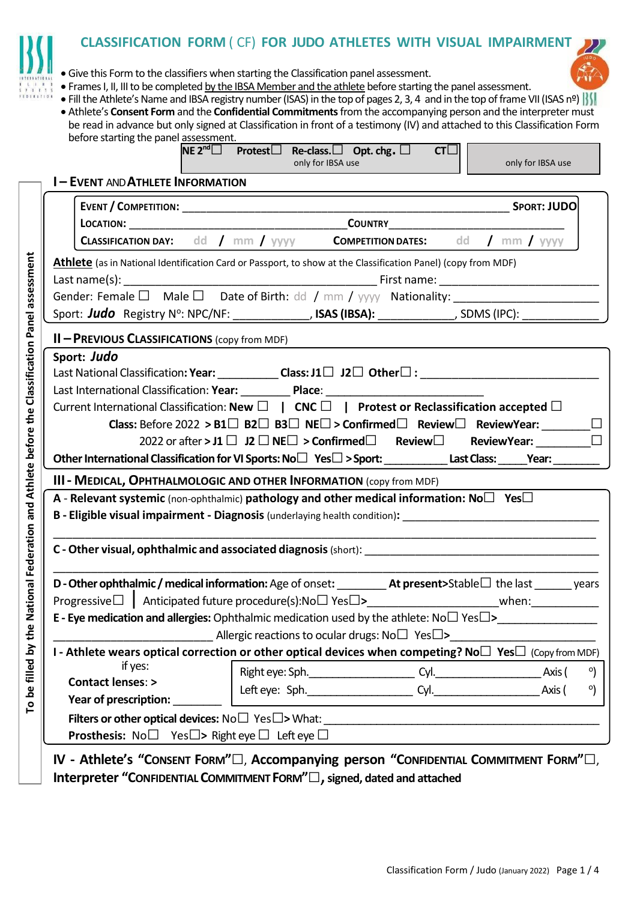

## **CLASSIFICATION FORM** ( CF) **FOR JUDO ATHLETES WITH VISUAL IMPAIRMENT**

- Give this Form to the classifiers when starting the Classification panel assessment.
- Frames I, II, IIIto be completed by the IBSA Member and the athlete before starting the panel assessment.
- Fill the Athlete's Name and IBSA registry number (ISAS) in the top of pages 2, 3, 4 and in the top of frame VII (ISAS nº)
- Athlete's **Consent Form** and the **Confidential Commitments**from the accompanying person and the interpreter must be read in advance but only signed at Classification in front of a testimony (IV) and attached to this Classification Form before starting the panel assessment.

| addcadiiltiit. |                   |                                                                                        |           |
|----------------|-------------------|----------------------------------------------------------------------------------------|-----------|
|                |                   | NE 2 <sup>nd</sup> $\square$ Protest $\square$ Re-class. $\square$ Opt. chg. $\square$ | $CT \Box$ |
|                | only for IBSA use |                                                                                        |           |

only for IBSA use

| <b>CLASSIFICATION DAY:</b> dd / mm / yyyy <b>COMPETITION DATES:</b> dd / mm / yyyy                                                                                                                                            |                                                                                                                       |                                                                                                                   |
|-------------------------------------------------------------------------------------------------------------------------------------------------------------------------------------------------------------------------------|-----------------------------------------------------------------------------------------------------------------------|-------------------------------------------------------------------------------------------------------------------|
| Athlete (as in National Identification Card or Passport, to show at the Classification Panel) (copy from MDF)                                                                                                                 |                                                                                                                       |                                                                                                                   |
|                                                                                                                                                                                                                               |                                                                                                                       |                                                                                                                   |
| Gender: Female $\square$ Male $\square$ Date of Birth: dd / mm / yyyy Nationality: __________________________                                                                                                                 |                                                                                                                       |                                                                                                                   |
| Sport: Judo Registry N°: NPC/NF: ______________, ISAS (IBSA): ____________, SDMS (IPC): _____________________                                                                                                                 |                                                                                                                       |                                                                                                                   |
| II - PREVIOUS CLASSIFICATIONS (copy from MDF)                                                                                                                                                                                 |                                                                                                                       |                                                                                                                   |
| Sport: Judo                                                                                                                                                                                                                   |                                                                                                                       |                                                                                                                   |
|                                                                                                                                                                                                                               |                                                                                                                       |                                                                                                                   |
| Last International Classification: Year: ___________ Place: ____________________                                                                                                                                              |                                                                                                                       |                                                                                                                   |
| Current International Classification: New $\Box$   CNC $\Box$   Protest or Reclassification accepted $\Box$                                                                                                                   |                                                                                                                       |                                                                                                                   |
|                                                                                                                                                                                                                               | Class: Before 2022 > B1 $\Box$ B2 $\Box$ B3 $\Box$ NE $\Box$ > Confirmed $\Box$ Review $\Box$ ReviewYear: ___________ |                                                                                                                   |
|                                                                                                                                                                                                                               | 2022 or after > J1 $\Box$ J2 $\Box$ NE $\Box$ > Confirmed $\Box$ Review $\Box$ Review Year: ___________________       |                                                                                                                   |
| Other International Classification for VI Sports: No□ Yes□ > Sport: ___________Last Class: _____Year: ________                                                                                                                |                                                                                                                       |                                                                                                                   |
|                                                                                                                                                                                                                               |                                                                                                                       |                                                                                                                   |
|                                                                                                                                                                                                                               |                                                                                                                       |                                                                                                                   |
| III - MEDICAL, OPHTHALMOLOGIC AND OTHER INFORMATION (copy from MDF)                                                                                                                                                           |                                                                                                                       |                                                                                                                   |
| A - Relevant systemic (non-ophthalmic) pathology and other medical information: $N_0 \Box$ Yes $\Box$                                                                                                                         |                                                                                                                       |                                                                                                                   |
| B - Eligible visual impairment - Diagnosis (underlaying health condition): [1986] [1986] [1986] [1986] [1986] [1986] [1986] [1986] [1986] [1986] [1986] [1986] [1986] [1986] [1986] [1986] [1986] [1986] [1986] [1986] [1986] |                                                                                                                       |                                                                                                                   |
|                                                                                                                                                                                                                               |                                                                                                                       |                                                                                                                   |
|                                                                                                                                                                                                                               |                                                                                                                       |                                                                                                                   |
|                                                                                                                                                                                                                               |                                                                                                                       |                                                                                                                   |
| D - Other ophthalmic / medical information: Age of onset: __________ At present>Stable□ the last _______ years                                                                                                                |                                                                                                                       |                                                                                                                   |
|                                                                                                                                                                                                                               |                                                                                                                       |                                                                                                                   |
|                                                                                                                                                                                                                               |                                                                                                                       |                                                                                                                   |
|                                                                                                                                                                                                                               |                                                                                                                       |                                                                                                                   |
| I - Athlete wears optical correction or other optical devices when competing? No $\square$ Yes $\square$ (Copy from MDF)                                                                                                      |                                                                                                                       |                                                                                                                   |
| if yes:                                                                                                                                                                                                                       |                                                                                                                       |                                                                                                                   |
| Contact lenses: >                                                                                                                                                                                                             |                                                                                                                       |                                                                                                                   |
| <b>Year of prescription:</b>                                                                                                                                                                                                  |                                                                                                                       |                                                                                                                   |
| Filters or other optical devices: $No\square$ Yes $\square$ > What:<br><b>Prosthesis:</b> No $\square$ Yes $\square$ > Right eye $\square$ Left eye $\square$                                                                 |                                                                                                                       | <u> 1989 - Andrea Barbara, poeta espainiar político e a contrar a contrar a contrar a contrar a contrar a con</u> |

**Interpreter "CONFIDENTIALCOMMITMENT FORM"**□,**signed, dated and attached**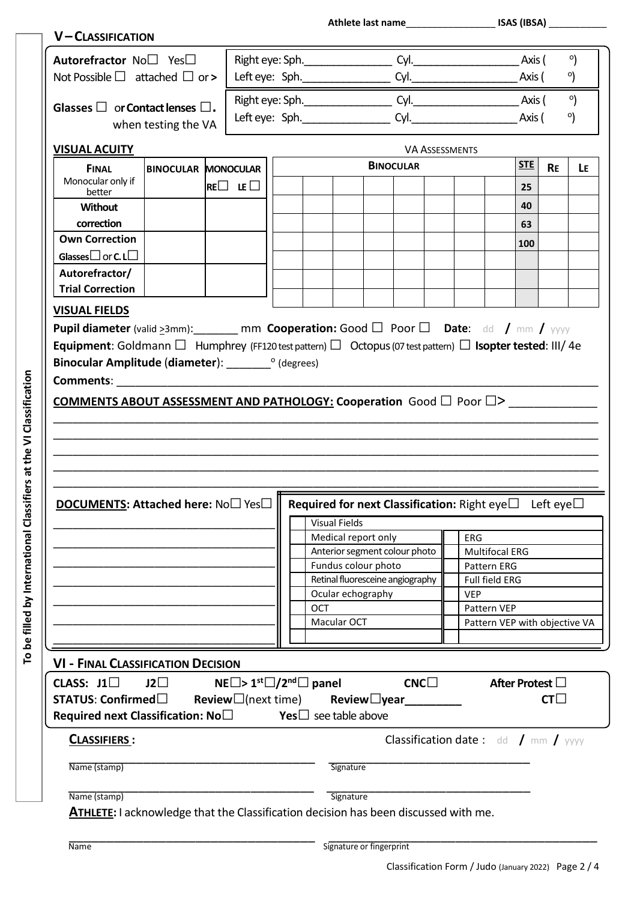| V-CLASSIFICATION                                                                                                                                                                                |                                                                                          |                                                                                                         |                                                                                             |
|-------------------------------------------------------------------------------------------------------------------------------------------------------------------------------------------------|------------------------------------------------------------------------------------------|---------------------------------------------------------------------------------------------------------|---------------------------------------------------------------------------------------------|
| Autorefractor No□ Yes□                                                                                                                                                                          |                                                                                          |                                                                                                         | $\circ$<br>Axis (                                                                           |
| Not Possible $\Box$ attached $\Box$ or >                                                                                                                                                        |                                                                                          | Left eye: Sph. Cyl.                                                                                     | $^{\circ}$<br>Axis (                                                                        |
|                                                                                                                                                                                                 |                                                                                          |                                                                                                         | $\circ$                                                                                     |
| Glasses $\square$ or Contact lenses $\square$ .                                                                                                                                                 |                                                                                          |                                                                                                         | Axis (<br>$^{\circ}$                                                                        |
| when testing the VA                                                                                                                                                                             |                                                                                          |                                                                                                         |                                                                                             |
| <b>VISUAL ACUITY</b>                                                                                                                                                                            |                                                                                          | <b>VA ASSESSMENTS</b>                                                                                   |                                                                                             |
| <b>FINAL</b><br><b>BINOCULAR MONOCULAR</b>                                                                                                                                                      |                                                                                          | <b>BINOCULAR</b>                                                                                        | <b>STE</b><br><b>RE</b><br>LE.                                                              |
| Monocular only if<br>better                                                                                                                                                                     | $RE\square$ LE $\square$                                                                 |                                                                                                         | 25                                                                                          |
| <b>Without</b>                                                                                                                                                                                  |                                                                                          |                                                                                                         | 40                                                                                          |
| correction                                                                                                                                                                                      |                                                                                          |                                                                                                         | 63                                                                                          |
| <b>Own Correction</b>                                                                                                                                                                           |                                                                                          |                                                                                                         | 100                                                                                         |
| Glasses $\square$ or <b>c</b> . <b>L</b> $\square$                                                                                                                                              |                                                                                          |                                                                                                         |                                                                                             |
| Autorefractor/                                                                                                                                                                                  |                                                                                          |                                                                                                         |                                                                                             |
| <b>Trial Correction</b>                                                                                                                                                                         |                                                                                          |                                                                                                         |                                                                                             |
|                                                                                                                                                                                                 |                                                                                          |                                                                                                         |                                                                                             |
|                                                                                                                                                                                                 | Æ                                                                                        | <b>Required for next Classification:</b> Right eye $\square$ Left eye $\square$<br><b>Visual Fields</b> |                                                                                             |
|                                                                                                                                                                                                 |                                                                                          | Medical report only                                                                                     | <b>ERG</b>                                                                                  |
|                                                                                                                                                                                                 |                                                                                          | Anterior segment colour photo                                                                           | <b>Multifocal ERG</b>                                                                       |
|                                                                                                                                                                                                 |                                                                                          | Fundus colour photo                                                                                     | Pattern ERG                                                                                 |
|                                                                                                                                                                                                 |                                                                                          | Retinal fluoresceine angiography<br>Ocular echography                                                   | Full field ERG<br><b>VEP</b>                                                                |
|                                                                                                                                                                                                 |                                                                                          | OCT                                                                                                     | Pattern VEP                                                                                 |
| <b>Comments: Comments: Comments: Comments:</b><br><b>COMMENTS ABOUT ASSESSMENT AND PATHOLOGY: Cooperation</b> Good $\Box$ Poor $\Box$ ><br>DOCUMENTS: Attached here: No $\square$ Yes $\square$ |                                                                                          | Macular OCT                                                                                             |                                                                                             |
| <b>VI - FINAL CLASSIFICATION DECISION</b><br>CLASS: $J1$<br>$J2\square$<br><b>STATUS: Confirmed</b> □<br>Required next Classification: $No\square$<br><b>CLASSIFIERS:</b>                       | $NE \Box$ > 1 <sup>st</sup> $\Box/2^{nd} \Box$ panel<br><b>Review</b> $\Box$ (next time) | $CNC\square$<br><b>Yes</b> $\Box$ see table above                                                       | After Protest $\Box$<br>$CT\square$<br><b>Classification date:</b> dd $\int$ mm $\int$ yyyy |
| Name (stamp)                                                                                                                                                                                    |                                                                                          | Signature                                                                                               | Pattern VEP with objective VA                                                               |
| Name (stamp)                                                                                                                                                                                    |                                                                                          | Signature                                                                                               |                                                                                             |

To be filled by International Classifiers at the VI Classification **To be filled by International Classifiers at the VI Classification**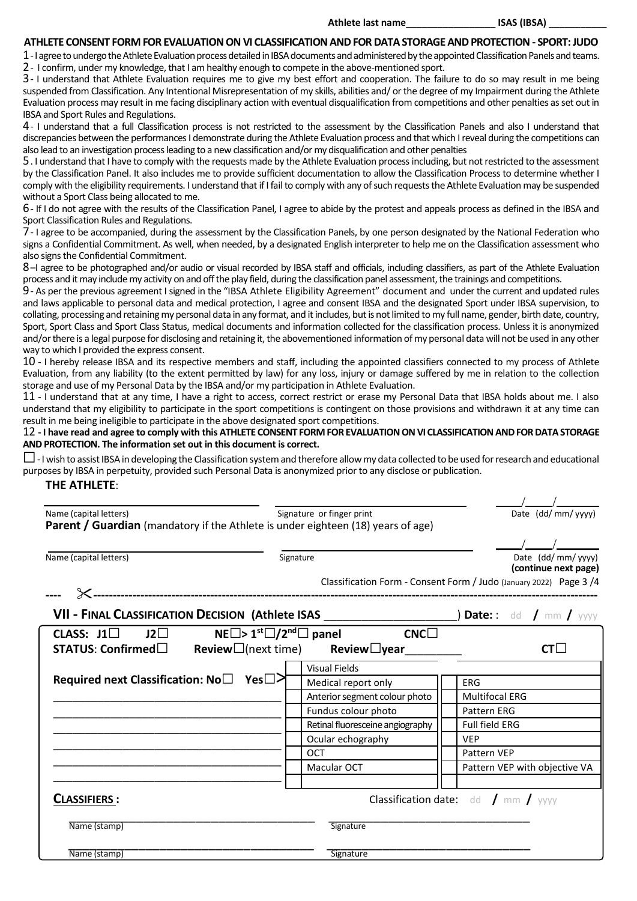Athlete last name **ISAS** (IBSA)

## **ATHLETE CONSENT FORM FOR EVALUATION ON VI CLASSIFICATION AND FOR DATA STORAGE AND PROTECTION - SPORT: JUDO**

1-I agree to undergo the Athlete Evaluation process detailed in IBSA documents and administered by the appointed ClassificationPanels and teams. 2- I confirm, under my knowledge, that I amhealthy enough to compete in the above-mentioned sport.

3- I understand that Athlete Evaluation requires me to give my best effort and cooperation. The failure to do so may result in me being suspended from Classification. Any Intentional Misrepresentation of my skills, abilities and/ or the degree of my Impairment during the Athlete Evaluation process may result in me facing disciplinary action with eventual disqualification from competitions and other penalties as set out in IBSA and Sport Rules and Regulations.

4- I understand that a full Classification process is not restricted to the assessment by the Classification Panels and also I understand that discrepancies between the performances I demonstrate during the Athlete Evaluation process and that which Ireveal during the competitions can also lead to an investigation process leading to a new classification and/or my disqualification and other penalties

5. I understand that I have to comply with the requests made by the Athlete Evaluation process including, but not restricted to the assessment by the Classification Panel. It also includes me to provide sufficient documentation to allow the Classification Process to determine whether I comply with the eligibility requirements. I understand that if I fail to comply with any of such requests the Athlete Evaluation may be suspended without a Sport Class being allocated to me.

6- If I do not agree with the results of the Classification Panel, I agree to abide by the protest and appeals process as defined in the IBSA and Sport Classification Rules and Regulations.

7- I agree to be accompanied, during the assessment by the Classification Panels, by one person designated by the National Federation who signs a Confidential Commitment. As well, when needed, by a designated English interpreter to help me on the Classification assessment who also signs the Confidential Commitment.

8–I agree to be photographed and/or audio or visual recorded by IBSA staff and officials, including classifiers, as part of the Athlete Evaluation process and it may includemy activity on and off the play field, during the classification panel assessment, the trainings and competitions.

9- As per the previous agreement I signed in the "IBSA Athlete Eligibility Agreement" document and under the current and updated rules and laws applicable to personal data and medical protection, I agree and consent IBSA and the designated Sport under IBSA supervision, to collating, processing and retaining my personal data in any format, and it includes, but is not limited to my full name, gender, birth date, country, Sport, Sport Class and Sport Class Status, medical documents and information collected for the classification process. Unless it is anonymized and/or there is a legal purpose for disclosing and retaining it, the abovementioned information of my personal data will not be used in any other way to which I provided the express consent.

10 - I hereby release IBSA and its respective members and staff, including the appointed classifiers connected to my process of Athlete Evaluation, from any liability (to the extent permitted by law) for any loss, injury or damage suffered by me in relation to the collection storage and use of my Personal Data by the IBSA and/or my participation in Athlete Evaluation.

11 - I understand that at any time, I have a right to access, correct restrict or erase my Personal Data that IBSA holds about me. I also understand that my eligibility to participate in the sport competitions is contingent on those provisions and withdrawn it at any time can result in me being ineligible to participate in the above designated sport competitions.

## 12 **- I have read and agree to comply with this ATHLETE CONSENT FORM FOR EVALUATION ON VI CLASSIFICATION AND FOR DATA STORAGE AND PROTECTION. The information set out in this document is correct.**

☐-I wish to assist IBSA in developing the Classification system and therefore allow my data collected to be used for research and educational purposes by IBSA in perpetuity, provided such Personal Data is anonymized prior to any disclose or publication.

**THE ATHLETE**:

| Name (capital letters)<br><b>Parent / Guardian</b> (mandatory if the Athlete is under eighteen (18) years of age) |                                                      | Signature or finger print                                          |            | Date (dd/ mm/ yyyy)                                   |
|-------------------------------------------------------------------------------------------------------------------|------------------------------------------------------|--------------------------------------------------------------------|------------|-------------------------------------------------------|
|                                                                                                                   |                                                      |                                                                    |            |                                                       |
| Name (capital letters)                                                                                            |                                                      | Signature                                                          |            | Date (dd/ mm/ yyyy)                                   |
|                                                                                                                   |                                                      | Classification Form - Consent Form / Judo (January 2022) Page 3 /4 |            | (continue next page)                                  |
|                                                                                                                   |                                                      |                                                                    |            |                                                       |
| VII - FINAL CLASSIFICATION DECISION (Athlete ISAS ______________________________                                  |                                                      |                                                                    |            | ) Date: : dd / mm / $yyyy$                            |
| CLASS: $J1 \Box$ $J2 \Box$                                                                                        | $NE \Box$ > 1 <sup>st</sup> $\Box/2^{nd} \Box$ panel | CNC                                                                |            |                                                       |
| $\mathsf{STATUS:}$ Confirmed $\Box$ Review $\Box$ (next time) Review $\Box$ year Review $\Box$                    |                                                      |                                                                    |            | CTL I                                                 |
|                                                                                                                   |                                                      | <b>Visual Fields</b>                                               |            |                                                       |
| Required next Classification: $No\square$                                                                         | Yes□>                                                | Medical report only                                                | <b>ERG</b> |                                                       |
|                                                                                                                   |                                                      | Anterior segment colour photo                                      |            | <b>Multifocal ERG</b>                                 |
|                                                                                                                   |                                                      | Fundus colour photo                                                |            | Pattern ERG                                           |
|                                                                                                                   |                                                      | Retinal fluoresceine angiography                                   |            | Full field ERG                                        |
|                                                                                                                   |                                                      | Ocular echography                                                  | <b>VEP</b> |                                                       |
|                                                                                                                   |                                                      | OCT                                                                |            | Pattern VEP                                           |
|                                                                                                                   |                                                      | Macular OCT                                                        |            | Pattern VEP with objective VA                         |
| <b>CLASSIFIERS:</b>                                                                                               |                                                      |                                                                    |            | <b>Classification date:</b> dd $\int$ mm $\int$ yyyyy |
| Name (stamp)                                                                                                      |                                                      | Signature                                                          |            |                                                       |
| Name (stamp)                                                                                                      |                                                      |                                                                    |            |                                                       |